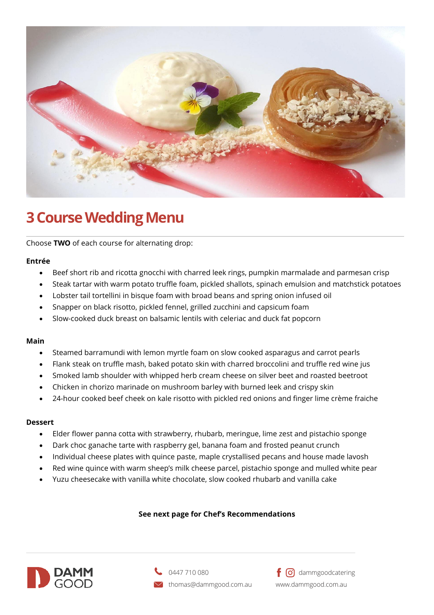

# **3 Course Wedding Menu**

Choose **TWO** of each course for alternating drop:

## **Entrée**

- Beef short rib and ricotta gnocchi with charred leek rings, pumpkin marmalade and parmesan crisp
- Steak tartar with warm potato truffle foam, pickled shallots, spinach emulsion and matchstick potatoes
- Lobster tail tortellini in bisque foam with broad beans and spring onion infused oil
- Snapper on black risotto, pickled fennel, grilled zucchini and capsicum foam
- Slow-cooked duck breast on balsamic lentils with celeriac and duck fat popcorn

## **Main**

- Steamed barramundi with lemon myrtle foam on slow cooked asparagus and carrot pearls
- Flank steak on truffle mash, baked potato skin with charred broccolini and truffle red wine jus
- Smoked lamb shoulder with whipped herb cream cheese on silver beet and roasted beetroot
- Chicken in chorizo marinade on mushroom barley with burned leek and crispy skin
- 24-hour cooked beef cheek on kale risotto with pickled red onions and finger lime crème fraiche

## **Dessert**

- Elder flower panna cotta with strawberry, rhubarb, meringue, lime zest and pistachio sponge
- Dark choc ganache tarte with raspberry gel, banana foam and frosted peanut crunch
- Individual cheese plates with quince paste, maple crystallised pecans and house made lavosh
- Red wine quince with warm sheep's milk cheese parcel, pistachio sponge and mulled white pear
- Yuzu cheesecake with vanilla white chocolate, slow cooked rhubarb and vanilla cake

## **See next page for Chef's Recommendations**





 $f$   $\Theta$  dammgoodcatering www.dammgood.com.au